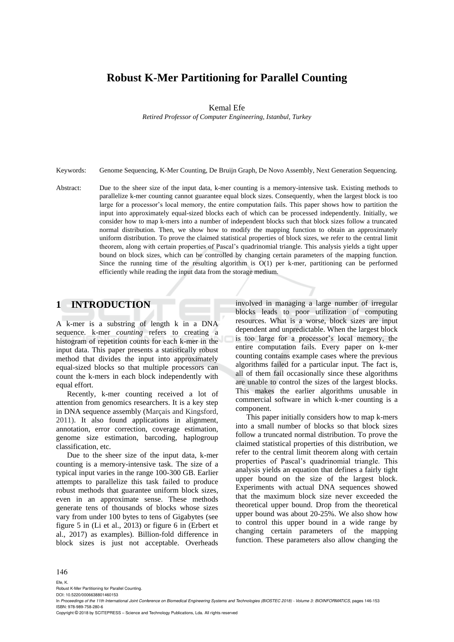# **Robust K-Mer Partitioning for Parallel Counting**

Kemal Efe

*Retired Professor of Computer Engineering, Istanbul, Turkey*

Keywords: Genome Sequencing, K-Mer Counting, De Bruijn Graph, De Novo Assembly, Next Generation Sequencing.

Abstract: Due to the sheer size of the input data, k-mer counting is a memory-intensive task. Existing methods to parallelize k-mer counting cannot guarantee equal block sizes. Consequently, when the largest block is too large for a processor's local memory, the entire computation fails. This paper shows how to partition the input into approximately equal-sized blocks each of which can be processed independently. Initially, we consider how to map k-mers into a number of independent blocks such that block sizes follow a truncated normal distribution. Then, we show how to modify the mapping function to obtain an approximately uniform distribution. To prove the claimed statistical properties of block sizes, we refer to the central limit theorem, along with certain properties of Pascal's quadrinomial triangle. This analysis yields a tight upper bound on block sizes, which can be controlled by changing certain parameters of the mapping function. Since the running time of the resulting algorithm is O(1) per k-mer, partitioning can be performed efficiently while reading the input data from the storage medium.

## **1 INTRODUCTION**

A k-mer is a substring of length k in a DNA sequence. k-mer *counting* refers to creating a histogram of repetition counts for each k-mer in the input data. This paper presents a statistically robust method that divides the input into approximately equal-sized blocks so that multiple processors can count the k-mers in each block independently with equal effort.

Recently, k-mer counting received a lot of attention from genomics researchers. It is a key step in DNA sequence assembly (Marçais and Kingsford, 2011). It also found applications in alignment, annotation, error correction, coverage estimation, genome size estimation, barcoding, haplogroup classification, etc.

Due to the sheer size of the input data, k-mer counting is a memory-intensive task. The size of a typical input varies in the range 100-300 GB. Earlier attempts to parallelize this task failed to produce robust methods that guarantee uniform block sizes, even in an approximate sense. These methods generate tens of thousands of blocks whose sizes vary from under 100 bytes to tens of Gigabytes (see figure 5 in (Li et al., 2013) or figure 6 in (Erbert et al., 2017) as examples). Billion-fold difference in block sizes is just not acceptable. Overheads

involved in managing a large number of irregular blocks leads to poor utilization of computing resources. What is a worse, block sizes are input dependent and unpredictable. When the largest block is too large for a processor's local memory, the entire computation fails. Every paper on k-mer counting contains example cases where the previous algorithms failed for a particular input. The fact is, all of them fail occasionally since these algorithms are unable to control the sizes of the largest blocks. This makes the earlier algorithms unusable in commercial software in which k-mer counting is a component.

This paper initially considers how to map k-mers into a small number of blocks so that block sizes follow a truncated normal distribution. To prove the claimed statistical properties of this distribution, we refer to the central limit theorem along with certain properties of Pascal's quadrinomial triangle. This analysis yields an equation that defines a fairly tight upper bound on the size of the largest block. Experiments with actual DNA sequences showed that the maximum block size never exceeded the theoretical upper bound. Drop from the theoretical upper bound was about 20-25%. We also show how to control this upper bound in a wide range by changing certain parameters of the mapping function. These parameters also allow changing the

#### 146

Efe, K. Robust K-Mer Partitioning for Parallel Counting.

DOI: 10.5220/0006638801460153

In *Proceedings of the 11th International Joint Conference on Biomedical Engineering Systems and Technologies (BIOSTEC 2018) - Volume 3: BIOINFORMATICS*, pages 146-153 ISBN: 978-989-758-280-6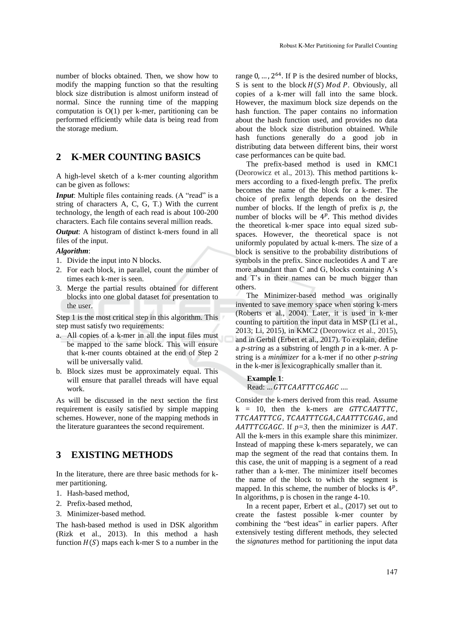number of blocks obtained. Then, we show how to modify the mapping function so that the resulting block size distribution is almost uniform instead of normal. Since the running time of the mapping computation is O(1) per k-mer, partitioning can be performed efficiently while data is being read from the storage medium.

## **2 K-MER COUNTING BASICS**

A high-level sketch of a k-mer counting algorithm can be given as follows:

*Input*: Multiple files containing reads. (A "read" is a string of characters A, C, G, T.) With the current technology, the length of each read is about 100-200 characters. Each file contains several million reads.

*Output*: A histogram of distinct k-mers found in all files of the input.

### *Algorithm*:

- 1. Divide the input into N blocks.
- 2. For each block, in parallel, count the number of times each k-mer is seen.
- 3. Merge the partial results obtained for different blocks into one global dataset for presentation to the user.

Step 1 is the most critical step in this algorithm. This step must satisfy two requirements:

- a. All copies of a k-mer in all the input files must be mapped to the same block. This will ensure that k-mer counts obtained at the end of Step 2 will be universally valid.
- b. Block sizes must be approximately equal. This will ensure that parallel threads will have equal work.

As will be discussed in the next section the first requirement is easily satisfied by simple mapping schemes. However, none of the mapping methods in the literature guarantees the second requirement.

## **3 EXISTING METHODS**

In the literature, there are three basic methods for kmer partitioning.

- 1. Hash-based method,
- 2. Prefix-based method,
- 3. Minimizer-based method.

The hash-based method is used in DSK algorithm (Rizk et al., 2013). In this method a hash function  $H(S)$  maps each k-mer S to a number in the

range  $0, \ldots, 2^{64}$ . If P is the desired number of blocks, S is sent to the block  $H(S)$  Mod P. Obviously, all copies of a k-mer will fall into the same block. However, the maximum block size depends on the hash function. The paper contains no information about the hash function used, and provides no data about the block size distribution obtained. While hash functions generally do a good job in distributing data between different bins, their worst case performances can be quite bad.

The prefix-based method is used in KMC1 (Deorowicz et al., 2013). This method partitions kmers according to a fixed-length prefix. The prefix becomes the name of the block for a k-mer. The choice of prefix length depends on the desired number of blocks. If the length of prefix is *p*, the number of blocks will be  $4^p$ . This method divides the theoretical k-mer space into equal sized subspaces. However, the theoretical space is not uniformly populated by actual k-mers. The size of a block is sensitive to the probability distributions of symbols in the prefix. Since nucleotides A and T are more abundant than C and G, blocks containing A's and T's in their names can be much bigger than others.

The Minimizer-based method was originally invented to save memory space when storing k-mers (Roberts et al., 2004). Later, it is used in k-mer counting to partition the input data in MSP (Li et al., 2013; Li, 2015), in KMC2 (Deorowicz et al., 2015), and in Gerbil (Erbert et al., 2017). To explain, define a *p-string* as a substring of length *p* in a k-mer. A pstring is a *minimizer* for a k-mer if no other *p-string* in the k-mer is lexicographically smaller than it.

### **Example 1**: Read: ... GTTCAATTTCGAGC ....

Consider the k-mers derived from this read. Assume  $k = 10$ , then the k-mers are  $GTTCAATTTC$ , TTCAATTTCG, TCAATTTCGA, CAATTTCGAG, and AATTTCGAGC. If  $p=3$ , then the minimizer is AAT. All the k-mers in this example share this minimizer. Instead of mapping these k-mers separately, we can map the segment of the read that contains them. In this case, the unit of mapping is a segment of a read rather than a k-mer. The minimizer itself becomes the name of the block to which the segment is mapped. In this scheme, the number of blocks is  $4^p$ . In algorithms, p is chosen in the range 4-10.

In a recent paper, Erbert et al., (2017) set out to create the fastest possible k-mer counter by combining the "best ideas" in earlier papers. After extensively testing different methods, they selected the *signatures* method for partitioning the input data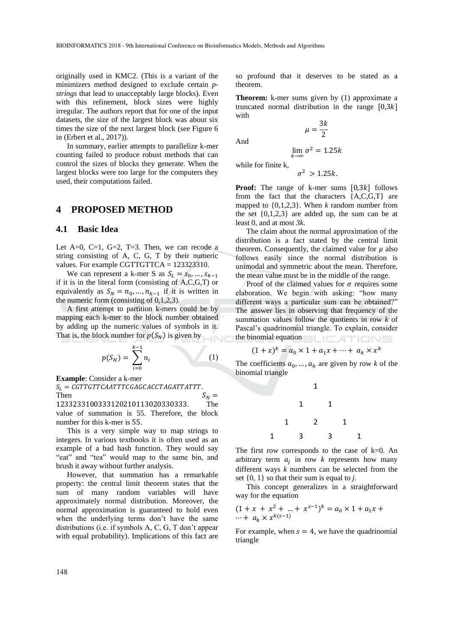originally used in KMC2. (This is a variant of the minimizers method designed to exclude certain *pstrings* that lead to unacceptably large blocks). Even with this refinement, block sizes were highly irregular. The authors report that for one of the input datasets, the size of the largest block was about six times the size of the next largest block (see Figure 6 in (Erbert et al., 2017)).

In summary, earlier attempts to parallelize k-mer counting failed to produce robust methods that can control the sizes of blocks they generate. When the largest blocks were too large for the computers they used, their computations failed.

### **4 PROPOSED METHOD**

### **4.1 Basic Idea**

Let  $A=0$ , C=1, G=2, T=3. Then, we can recode a string consisting of A, C, G, T by their numeric values. For example CGTTGTTCA = 123323310.

We can represent a k-mer S as  $S_L = s_0, ..., s_{k-1}$ if it is in the literal form (consisting of A,C,G,T) or equivalently as  $S_N = n_0, ..., n_{k-1}$  if it is written in the numeric form (consisting of 0,1,2,3).

A first attempt to partition k-mers could be by mapping each k-mer to the block number obtained by adding up the numeric values of symbols in it. That is, the block number for  $p(S_N)$  is given by

$$
p(S_N) = \sum_{i=0}^{k-1} n_i
$$
 (1)

**Example**: Consider a k-mer

 $S_L = \textit{CGTTGTTCAATTTCGAGCACCTAGATTATTT}$ .<br>Then

Then  $S_N =$ 1233233100333120210113020330333. The value of summation is 55. Therefore, the block number for this k-mer is 55.

This is a very simple way to map strings to integers. In various textbooks it is often used as an example of a bad hash function. They would say "eat" and "tea" would map to the same bin, and brush it away without further analysis.

However, that summation has a remarkable property: the central limit theorem states that the sum of many random variables will have approximately normal distribution. Moreover, the normal approximation is guaranteed to hold even when the underlying terms don't have the same distributions (i.e. if symbols A, C, G, T don't appear with equal probability). Implications of this fact are so profound that it deserves to be stated as a theorem.

**Theorem:** k-mer sums given by (1) approximate a truncated normal distribution in the range  $[0,3k]$ with

> $\mu = \frac{3k}{2}$ 2

And

$$
\lim_{k \to \infty} \sigma^2 = 1.25k
$$

while for finite k,

$$
\sigma^2 > 1.25k
$$

**Proof:** The range of k-mer sums  $[0,3k]$  follows from the fact that the characters  ${A, C, G, T}$  are mapped to {0,1,2,3}. When *k* random number from the set  $\{0,1,2,3\}$  are added up, the sum can be at least 0, and at most *3k*.

The claim about the normal approximation of the distribution is a fact stated by the central limit theorem. Consequently, the claimed value for  $\mu$  also follows easily since the normal distribution is unimodal and symmetric about the mean. Therefore, the mean value must be in the middle of the range.

Proof of the claimed values for  $\sigma$  requires some elaboration. We begin with asking: "how many different ways a particular sum can be obtained?" The answer lies in observing that frequency of the summation values follow the quotients in row *k* of Pascal's quadrinomial triangle. To explain, consider the binomial equation **that the binomial equation** 

$$
(1+x)^k = a_0 \times 1 + a_1 x + \dots + a_k \times x^k
$$

The coefficients  $a_0, \dots, a_k$  are given by row *k* of the binomial triangle



The first row corresponds to the case of  $k=0$ . An arbitrary term  $a_j$  in row  $k$  represents how many different ways *k* numbers can be selected from the set {0, 1} so that their sum is equal to *j*.

This concept generalizes in a straightforward way for the equation

$$
(1 + x + x2 + ... + xs-1)k = a0 × 1 + a1x + ... + ak × xk(s-1)
$$

For example, when  $s = 4$ , we have the quadrinomial triangle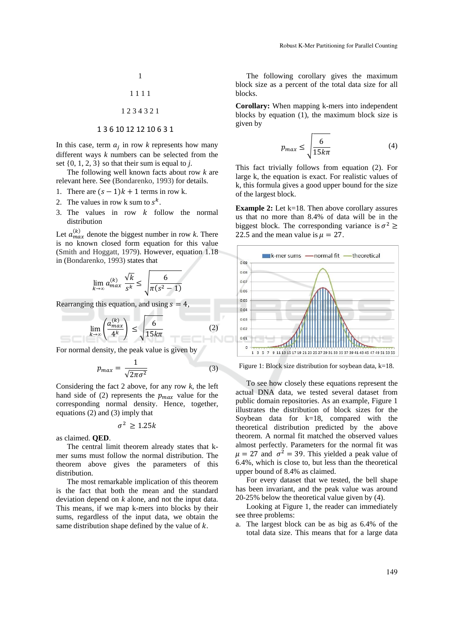1

$$
1\;1\;1\;1
$$

$$
1\; 2\; 3\; 4\; 3\; 2\; 1 \\
$$

### 1 3 6 10 12 12 10 6 3 1

In this case, term  $a_j$  in row  $k$  represents how many different ways *k* numbers can be selected from the set  $\{0, 1, 2, 3\}$  so that their sum is equal to *i*.

The following well known facts about row *k* are relevant here. See (Bondarenko, 1993) for details.

- 1. There are  $(s 1)k + 1$  terms in row k.
- 2. The values in row k sum to  $s^k$ .
- 3. The values in row  $k$  follow the normal distribution

Let  $a_{max}^{(k)}$  denote the biggest number in row *k*. There is no known closed form equation for this value (Smith and Hoggatt, 1979). However, equation 1.18 in (Bondarenko, 1993) states that

$$
\lim_{k \to \infty} a_{max}^{(k)} \frac{\sqrt{k}}{s^k} \le \sqrt{\frac{6}{\pi (s^2 - 1)}}
$$

Rearranging this equation, and using  $s = 4$ ,

$$
\lim_{k \to \infty} \left( \frac{a_{max}^{(k)}}{4^k} \right) \le \sqrt{\frac{6}{15 k \pi}} \tag{2}
$$

For normal density, the peak value is given by

$$
p_{max} = \frac{1}{\sqrt{2\pi\sigma^2}}\tag{3}
$$

Considering the fact 2 above, for any row *k,* the left hand side of (2) represents the  $p_{max}$  value for the corresponding normal density. Hence, together, equations (2) and (3) imply that

$$
\sigma^2 \ge 1.25k
$$

as claimed. **QED**.

The central limit theorem already states that kmer sums must follow the normal distribution. The theorem above gives the parameters of this distribution.

The most remarkable implication of this theorem is the fact that both the mean and the standard deviation depend on *k* alone, and not the input data. This means, if we map k-mers into blocks by their sums, regardless of the input data, we obtain the same distribution shape defined by the value of  $k$ .

The following corollary gives the maximum block size as a percent of the total data size for all blocks.

**Corollary:** When mapping k-mers into independent blocks by equation (1), the maximum block size is given by

$$
p_{max} \le \sqrt{\frac{6}{15k\pi}}\tag{4}
$$

This fact trivially follows from equation (2). For large k, the equation is exact. For realistic values of k, this formula gives a good upper bound for the size of the largest block.

**Example 2:** Let k=18. Then above corollary assures us that no more than 8.4% of data will be in the biggest block. The corresponding variance is  $\sigma^2 \geq$ 22.5 and the mean value is  $\mu = 27$ .



Figure 1: Block size distribution for soybean data, k=18.

To see how closely these equations represent the actual DNA data, we tested several dataset from public domain repositories. As an example, Figure 1 illustrates the distribution of block sizes for the Soybean data for k=18, compared with the theoretical distribution predicted by the above theorem. A normal fit matched the observed values almost perfectly. Parameters for the normal fit was  $\mu = 27$  and  $\sigma^2 = 39$ . This yielded a peak value of 6.4%, which is close to, but less than the theoretical upper bound of 8.4% as claimed.

For every dataset that we tested, the bell shape has been invariant, and the peak value was around 20-25% below the theoretical value given by (4).

Looking at Figure 1, the reader can immediately see three problems:

a. The largest block can be as big as 6.4% of the total data size. This means that for a large data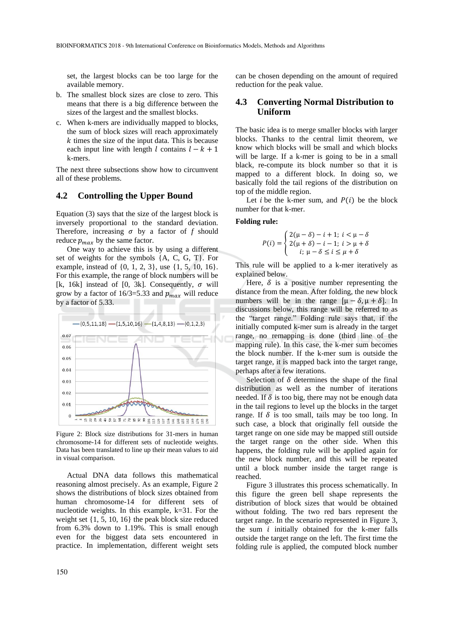set, the largest blocks can be too large for the available memory.

- b. The smallest block sizes are close to zero. This means that there is a big difference between the sizes of the largest and the smallest blocks.
- c. When k-mers are individually mapped to blocks, the sum of block sizes will reach approximately  $k$  times the size of the input data. This is because each input line with length  $l$  contains  $l - k + 1$ k-mers.

The next three subsections show how to circumvent all of these problems.

### **4.2 Controlling the Upper Bound**

Equation (3) says that the size of the largest block is inversely proportional to the standard deviation. Therefore, increasing  $\sigma$  by a factor of  $f$  should reduce  $p_{max}$  by the same factor.

One way to achieve this is by using a different set of weights for the symbols {A, C, G, T}. For example, instead of  $\{0, 1, 2, 3\}$ , use  $\{1, 5, 10, 16\}$ . For this example, the range of block numbers will be [k, 16k] instead of [0, 3k]. Consequently,  $\sigma$  will grow by a factor of 16/3=5.33 and  $p_{max}$  will reduce by a factor of 5.33.



Figure 2: Block size distributions for 31-mers in human chromosome-14 for different sets of nucleotide weights. Data has been translated to line up their mean values to aid in visual comparison.

Actual DNA data follows this mathematical reasoning almost precisely. As an example, Figure 2 shows the distributions of block sizes obtained from human chromosome-14 for different sets of nucleotide weights. In this example, k=31. For the weight set {1, 5, 10, 16} the peak block size reduced from 6.3% down to 1.19%. This is small enough even for the biggest data sets encountered in practice. In implementation, different weight sets

can be chosen depending on the amount of required reduction for the peak value.

### **4.3 Converting Normal Distribution to Uniform**

The basic idea is to merge smaller blocks with larger blocks. Thanks to the central limit theorem, we know which blocks will be small and which blocks will be large. If a k-mer is going to be in a small black, re-compute its block number so that it is mapped to a different block. In doing so, we basically fold the tail regions of the distribution on top of the middle region.

Let *i* be the k-mer sum, and  $P(i)$  be the block number for that k-mer.

#### **Folding rule:**

$$
P(i) = \begin{cases} 2(\mu - \delta) - i + 1; \ i < \mu - \delta \\ 2(\mu + \delta) - i - 1; \ i > \mu + \delta \\ i; \ \mu - \delta \le i \le \mu + \delta \end{cases}
$$

This rule will be applied to a k-mer iteratively as explained below.

Here,  $\delta$  is a positive number representing the distance from the mean. After folding, the new block numbers will be in the range  $[\mu - \delta, \mu + \delta]$ . In discussions below, this range will be referred to as the "target range." Folding rule says that, if the initially computed k-mer sum is already in the target range, no remapping is done (third line of the mapping rule). In this case, the k-mer sum becomes the block number. If the k-mer sum is outside the target range, it is mapped back into the target range, perhaps after a few iterations.

Selection of  $\delta$  determines the shape of the final distribution as well as the number of iterations needed. If  $\delta$  is too big, there may not be enough data in the tail regions to level up the blocks in the target range. If  $\delta$  is too small, tails may be too long. In such case, a block that originally fell outside the target range on one side may be mapped still outside the target range on the other side. When this happens, the folding rule will be applied again for the new block number, and this will be repeated until a block number inside the target range is reached.

Figure 3 illustrates this process schematically. In this figure the green bell shape represents the distribution of block sizes that would be obtained without folding. The two red bars represent the target range. In the scenario represented in Figure 3, the sum  $i$  initially obtained for the k-mer falls outside the target range on the left. The first time the folding rule is applied, the computed block number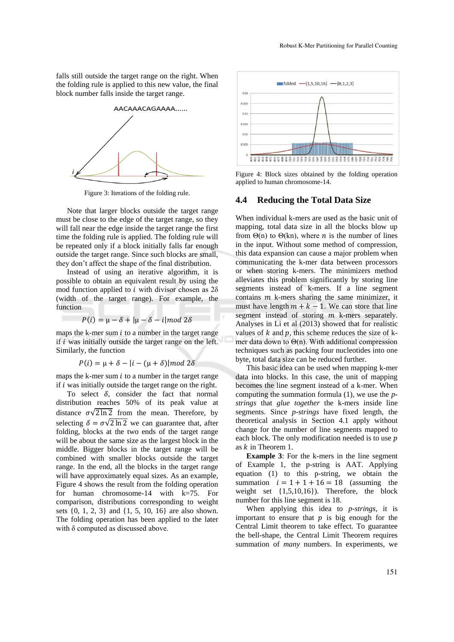falls still outside the target range on the right. When the folding rule is applied to this new value, the final block number falls inside the target range.



Figure 3: Iterations of the folding rule.

Note that larger blocks outside the target range must be close to the edge of the target range, so they will fall near the edge inside the target range the first time the folding rule is applied. The folding rule will be repeated only if a block initially falls far enough outside the target range. Since such blocks are small, they don't affect the shape of the final distribution.

Instead of using an iterative algorithm, it is possible to obtain an equivalent result by using the mod function applied to  $i$  with divisor chosen as  $2\delta$ (width of the target range). For example, the function

$$
P(i) = \mu - \delta + |\mu - \delta - i| \mod 2\delta
$$

maps the k-mer sum  $i$  to a number in the target range if  $i$  was initially outside the target range on the left. Similarly, the function

$$
P(i) = \mu + \delta - |i - (\mu + \delta)| \mod 2\delta
$$

maps the k-mer sum  $i$  to a number in the target range if  $i$  was initially outside the target range on the right.

To select  $\delta$ , consider the fact that normal distribution reaches 50% of its peak value at distance  $\sigma\sqrt{2 \ln 2}$  from the mean. Therefore, by selecting  $\delta = \sigma \sqrt{2 \ln 2}$  we can guarantee that, after folding, blocks at the two ends of the target range will be about the same size as the largest block in the middle. Bigger blocks in the target range will be combined with smaller blocks outside the target range. In the end, all the blocks in the target range will have approximately equal sizes. As an example, Figure 4 shows the result from the folding operation for human chromosome-14 with k=75. For comparison, distributions corresponding to weight sets {0, 1, 2, 3} and {1, 5, 10, 16} are also shown. The folding operation has been applied to the later with δ computed as discussed above.



Figure 4: Block sizes obtained by the folding operation applied to human chromosome-14.

### **4.4 Reducing the Total Data Size**

When individual k-mers are used as the basic unit of mapping, total data size in all the blocks blow up from  $\Theta(n)$  to  $\Theta(kn)$ , where *n* is the number of lines in the input. Without some method of compression, this data expansion can cause a major problem when communicating the k-mer data between processors or when storing k-mers. The minimizers method alleviates this problem significantly by storing line segments instead of k-mers. If a line segment contains  $m$  k-mers sharing the same minimizer, it must have length  $m + k - 1$ . We can store that line segment instead of storing  $m$  k-mers separately. Analyses in Li et al (2013) showed that for realistic values of  $k$  and  $p$ , this scheme reduces the size of  $k$ mer data down to Θ(n). With additional compression techniques such as packing four nucleotides into one byte, total data size can be reduced further.

This basic idea can be used when mapping k-mer data into blocks. In this case, the unit of mapping becomes the line segment instead of a k-mer. When computing the summation formula (1), we use the *pstrings* that *glue together* the k-mers inside line segments. Since *p-strings* have fixed length, the theoretical analysis in Section 4.1 apply without change for the number of line segments mapped to each block. The only modification needed is to use  $p$ as  $k$  in Theorem 1.

**Example 3**: For the k-mers in the line segment of Example 1, the p-string is AAT. Applying equation (1) to this p-string, we obtain the summation  $i = 1 + 1 + 16 = 18$  (assuming the weight set {1,5,10,16}). Therefore, the block number for this line segment is 18.

When applying this idea to *p-strings*, it is important to ensure that  $p$  is big enough for the Central Limit theorem to take effect. To guarantee the bell-shape, the Central Limit Theorem requires summation of *many* numbers. In experiments, we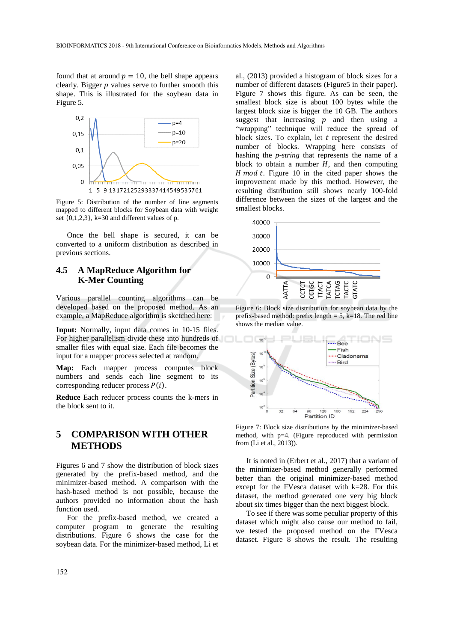found that at around  $p = 10$ , the bell shape appears clearly. Bigger  $p$  values serve to further smooth this shape. This is illustrated for the soybean data in Figure 5.



Figure 5: Distribution of the number of line segments mapped to different blocks for Soybean data with weight set  $\{0,1,2,3\}$ , k=30 and different values of p.

Once the bell shape is secured, it can be converted to a uniform distribution as described in previous sections.

## **4.5 A MapReduce Algorithm for K-Mer Counting**

Various parallel counting algorithms can be developed based on the proposed method. As an example, a MapReduce algorithm is sketched here:

**Input:** Normally, input data comes in 10-15 files. For higher parallelism divide these into hundreds of smaller files with equal size. Each file becomes the input for a mapper process selected at random.

**Map:** Each mapper process computes block numbers and sends each line segment to its corresponding reducer process  $P(i)$ .

**Reduce** Each reducer process counts the k-mers in the block sent to it.

## **5 COMPARISON WITH OTHER METHODS**

Figures 6 and 7 show the distribution of block sizes generated by the prefix-based method, and the minimizer-based method. A comparison with the hash-based method is not possible, because the authors provided no information about the hash function used.

For the prefix-based method, we created a computer program to generate the resulting distributions. Figure 6 shows the case for the soybean data. For the minimizer-based method, Li et

al., (2013) provided a histogram of block sizes for a number of different datasets (Figure5 in their paper). Figure 7 shows this figure. As can be seen, the smallest block size is about 100 bytes while the largest block size is bigger the 10 GB. The authors suggest that increasing  $p$  and then using a "wrapping" technique will reduce the spread of block sizes. To explain, let  $t$  represent the desired number of blocks. Wrapping here consists of hashing the *p-string* that represents the name of a block to obtain a number  $H$ , and then computing H mod t. Figure 10 in the cited paper shows the improvement made by this method. However, the resulting distribution still shows nearly 100-fold difference between the sizes of the largest and the smallest blocks.



Figure 6: Block size distribution for soybean data by the prefix-based method: prefix length  $= 5$ , k=18. The red line shows the median value.



Figure 7: Block size distributions by the minimizer-based method, with p=4. (Figure reproduced with permission from (Li et al., 2013)).

It is noted in (Erbert et al., 2017) that a variant of the minimizer-based method generally performed better than the original minimizer-based method except for the FVesca dataset with k=28. For this dataset, the method generated one very big block about six times bigger than the next biggest block.

To see if there was some peculiar property of this dataset which might also cause our method to fail, we tested the proposed method on the FVesca dataset. Figure 8 shows the result. The resulting